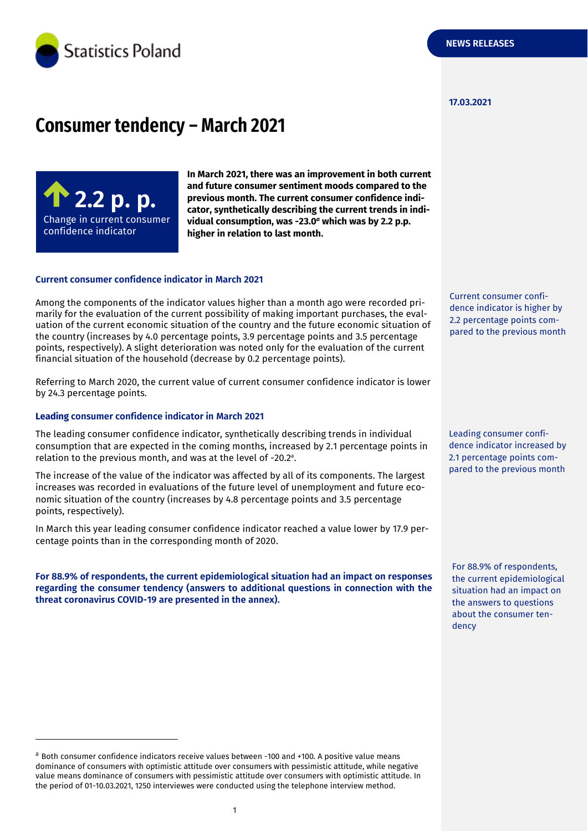

#### **17.03.2021**

# **Consumer tendency – March 2021**



-

**In March 2021, there was an improvement in both current and future consumer sentiment moods compared to the previous month. The current consumer confidence indicator, synthetically describing the current trends in individual consumption, was -23.0** *<sup>a</sup>* **which was by 2.2 p.p. higher in relation to last month.**

#### **Current consumer confidence indicator in March 2021**

Among the components of the indicator values higher than a month ago were recorded primarily for the evaluation of the current possibility of making important purchases, the evaluation of the current economic situation of the country and the future economic situation of the country (increases by 4.0 percentage points, 3.9 percentage points and 3.5 percentage points, respectively). A slight deterioration was noted only for the evaluation of the current financial situation of the household (decrease by 0.2 percentage points).

Referring to March 2020, the current value of current consumer confidence indicator is lower by 24.3 percentage points.

### **Leading consumer confidence indicator in March 2021**

The leading consumer confidence indicator, synthetically describing trends in individual consumption that are expected in the coming months, increased by 2.1 percentage points in relation to the previous month, and was at the level of -20.2 a .

The increase of the value of the indicator was affected by all of its components. The largest increases was recorded in evaluations of the future level of unemployment and future economic situation of the country (increases by 4.8 percentage points and 3.5 percentage points, respectively).

In March this year leading consumer confidence indicator reached a value lower by 17.9 percentage points than in the corresponding month of 2020.

**For 88.9% of respondents, the current epidemiological situation had an impact on responses regarding the consumer tendency (answers to additional questions in connection with the threat coronavirus COVID-19 are presented in the annex).** 

Current consumer confidence indicator is higher by 2.2 percentage points compared to the previous month

Leading consumer confidence indicator increased by 2.1 percentage points compared to the previous month

For 88.9% of respondents, the current epidemiological situation had an impact on the answers to questions about the consumer tendency

<sup>a</sup> Both consumer confidence indicators receive values between -100 and +100. A positive value means dominance of consumers with optimistic attitude over consumers with pessimistic attitude, while negative value means dominance of consumers with pessimistic attitude over consumers with optimistic attitude. In the period of 01-10.03.2021, 1250 interviewes were conducted using the telephone interview method.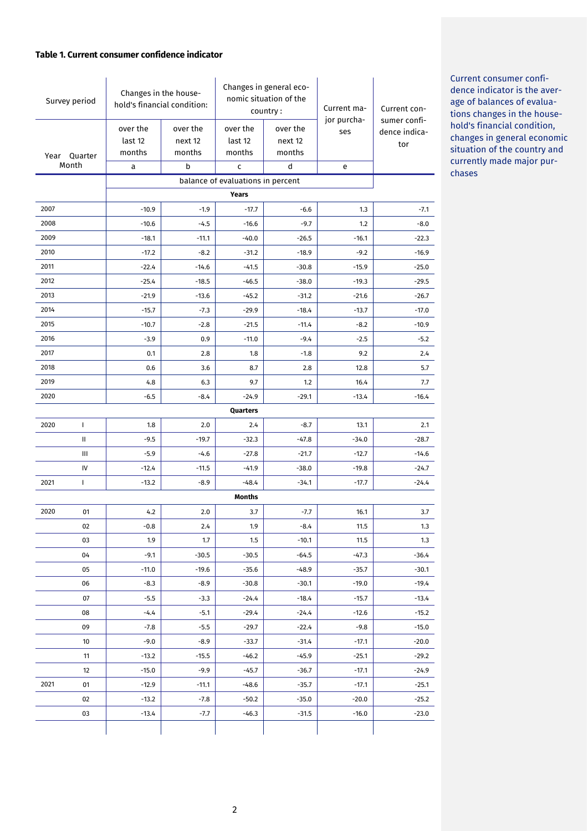# **Table 1. Current consumer confidence indicator**

| Survey period         |                                   | Changes in the house-<br>hold's financial condition: |                               | Changes in general eco-<br>nomic situation of the<br>country: |                               | Current ma-        | Current con-                         |  |
|-----------------------|-----------------------------------|------------------------------------------------------|-------------------------------|---------------------------------------------------------------|-------------------------------|--------------------|--------------------------------------|--|
| Year Quarter<br>Month |                                   | over the<br>last 12<br>months                        | over the<br>next 12<br>months | over the<br>last 12<br>months                                 | over the<br>next 12<br>months | jor purcha-<br>ses | sumer confi-<br>dence indica-<br>tor |  |
|                       |                                   | a                                                    | b                             | C                                                             | d                             | e                  |                                      |  |
|                       | balance of evaluations in percent |                                                      |                               |                                                               |                               |                    |                                      |  |
|                       | Years                             |                                                      |                               |                                                               |                               |                    |                                      |  |
| 2007                  |                                   | $-10.9$                                              | $-1.9$                        | $-17.7$                                                       | $-6.6$                        | 1.3                | $-7.1$                               |  |
| 2008                  |                                   | $-10.6$                                              | $-4.5$                        | $-16.6$                                                       | $-9.7$                        | 1.2                | $-8.0$                               |  |
| 2009                  |                                   | $-18.1$                                              | $-11.1$                       | $-40.0$                                                       | $-26.5$                       | $-16.1$            | $-22.3$                              |  |
| 2010                  |                                   | $-17.2$                                              | $-8.2$                        | $-31.2$                                                       | $-18.9$                       | $-9.2$             | $-16.9$                              |  |
| 2011                  |                                   | $-22.4$                                              | $-14.6$                       | $-41.5$                                                       | $-30.8$                       | $-15.9$            | $-25.0$                              |  |
| 2012                  |                                   | $-25.4$                                              | $-18.5$                       | $-46.5$                                                       | $-38.0$                       | $-19.3$            | $-29.5$                              |  |
| 2013                  |                                   | $-21.9$                                              | $-13.6$                       | $-45.2$                                                       | $-31.2$                       | $-21.6$            | $-26.7$                              |  |
| 2014                  |                                   | $-15.7$                                              | $-7.3$                        | $-29.9$                                                       | $-18.4$                       | $-13.7$            | $-17.0$                              |  |
| 2015                  |                                   | $-10.7$                                              | $-2.8$                        | $-21.5$                                                       | $-11.4$                       | $-8.2$             | $-10.9$                              |  |
| 2016                  |                                   | $-3.9$                                               | 0.9                           | $-11.0$                                                       | $-9.4$                        | $-2.5$             | $-5.2$                               |  |
| 2017                  |                                   | 0.1                                                  | 2.8                           | 1.8                                                           | $-1.8$                        | 9.2                | 2.4                                  |  |
| 2018                  |                                   | 0.6                                                  | 3.6                           | 8.7                                                           | 2.8                           | 12.8               | 5.7                                  |  |
| 2019                  |                                   | 4.8                                                  | 6.3                           | 9.7                                                           | 1.2                           | 16.4               | 7.7                                  |  |
| 2020                  |                                   | $-6.5$                                               | $-8.4$                        | $-24.9$                                                       | $-29.1$                       | $-13.4$            | $-16.4$                              |  |
|                       |                                   |                                                      |                               | Quarters                                                      |                               |                    |                                      |  |
| 2020                  | $\mathbf{I}$                      | 1.8                                                  | 2.0                           | 2.4                                                           | $-8.7$                        | 13.1               | 2.1                                  |  |
|                       | Ш                                 | $-9.5$                                               | $-19.7$                       | $-32.3$                                                       | $-47.8$                       | $-34.0$            | $-28.7$                              |  |
|                       | Ш                                 | $-5.9$                                               | $-4.6$                        | $-27.8$                                                       | $-21.7$                       | $-12.7$            | $-14.6$                              |  |
|                       | IV                                | $-12.4$                                              | $-11.5$                       | $-41.9$                                                       | $-38.0$                       | $-19.8$            | $-24.7$                              |  |
| 2021                  | L                                 | $-13.2$                                              | $-8.9$                        | $-48.4$                                                       | $-34.1$                       | $-17.7$            | $-24.4$                              |  |
|                       |                                   |                                                      |                               | Months                                                        |                               |                    |                                      |  |
| 2020                  | 01                                | 4.2                                                  | 2.0                           | 3.7                                                           | $-7.7$                        | 16.1               | 3.7                                  |  |
|                       | 02                                | $-0.8$                                               | 2.4                           | 1.9                                                           | $-8.4$                        | 11.5               | 1.3                                  |  |
|                       | 03                                | 1.9                                                  | 1.7                           | 1.5                                                           | $-10.1$                       | 11.5               | 1.3                                  |  |
|                       | 04                                | $-9.1$                                               | $-30.5$                       | $-30.5$                                                       | $-64.5$                       | $-47.3$            | $-36.4$                              |  |
|                       | 05                                | $-11.0$                                              | $-19.6$                       | -35.6                                                         | $-48.9$                       | $-35.7$            | $-30.1$                              |  |
|                       | 06                                | $-8.3$                                               | $-8.9$                        | $-30.8$                                                       | $-30.1$                       | $-19.0$            | $-19.4$                              |  |
|                       | 07                                | $-5.5$                                               | $-3.3$                        | $-24.4$                                                       | $-18.4$                       | $-15.7$            | $-13.4$                              |  |
|                       | 08                                | $-4.4$                                               | $-5.1$                        | $-29.4$                                                       | $-24.4$                       | $-12.6$            | $-15.2$                              |  |
|                       | 09                                | $-7.8$                                               | $-5.5$                        | $-29.7$                                                       | $-22.4$                       | $-9.8$             | $-15.0$                              |  |
|                       | 10                                | $-9.0$                                               | $-8.9$                        | $-33.7$                                                       | $-31.4$                       | $-17.1$            | $-20.0$                              |  |
|                       | 11                                | $-13.2$                                              | $-15.5$                       | $-46.2$                                                       | $-45.9$                       | $-25.1$            | $-29.2$                              |  |
|                       | 12                                | $-15.0$                                              | $-9.9$                        | $-45.7$                                                       | $-36.7$                       | $-17.1$            | $-24.9$                              |  |
| 2021                  | 01                                | $-12.9$                                              | $-11.1$                       | $-48.6$                                                       | $-35.7$                       | $-17.1$            | $-25.1$                              |  |
|                       | 02                                | $-13.2$                                              | $-7.8$                        | $-50.2$                                                       | $-35.0$                       | $-20.0$            | $-25.2$                              |  |
|                       | 03                                | $-13.4$                                              | -7.7                          | $-46.3$                                                       | $-31.5$                       | $-16.0$            | $-23.0$                              |  |
|                       |                                   |                                                      |                               |                                                               |                               |                    |                                      |  |

Current consumer confidence indicator is the average of balances of evaluations changes in the household's financial condition, changes in general economic situation of the country and currently made major purchases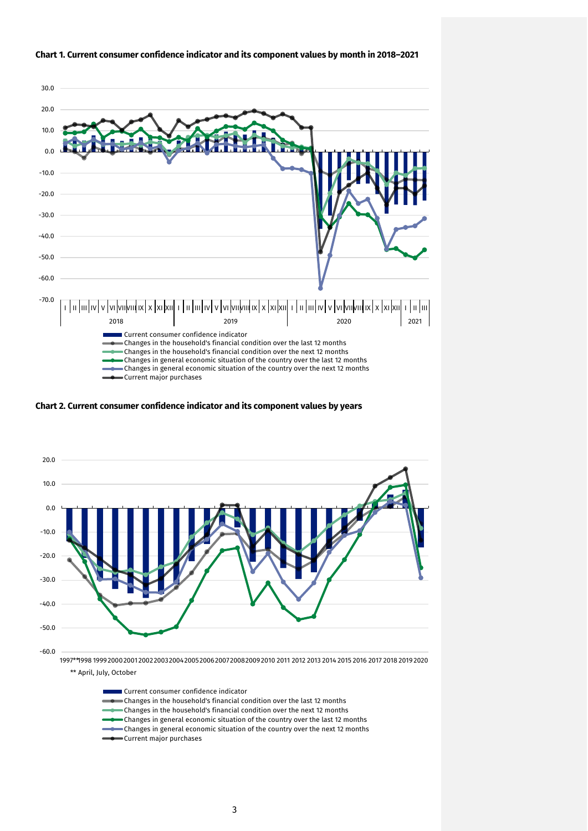

# **Chart 1. Current consumer confidence indicator and its component values by month in 2018–2021**

**Chart 2. Current consumer confidence indicator and its component values by years**



\*\* April, July, October

Current consumer confidence indicator Changes in the household's financial condition over the last 12 months Changes in the household's financial condition over the next 12 months Changes in general economic situation of the country over the last 12 months  $\bullet$  Changes in general economic situation of the country over the next 12 months Current major purchases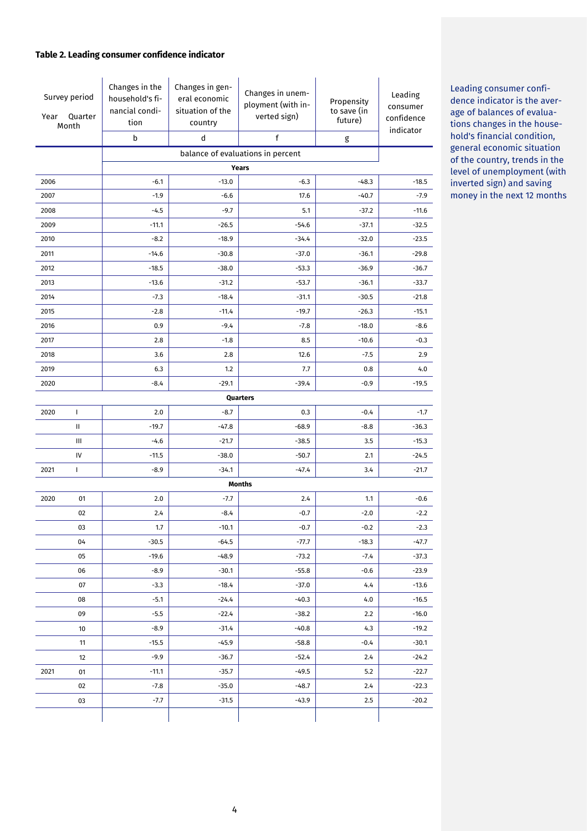# **Table 2. Leading consumer confidence indicator**

| Survey period<br>Quarter<br>Year<br>Month |                                   | Changes in the<br>household's fi-<br>nancial condi-<br>tion<br>b | Changes in gen-<br>eral economic<br>situation of the<br>country<br>d | Changes in unem-<br>ployment (with in-<br>verted sign)<br>f | Propensity<br>to save (in<br>future)<br>g | Leading<br>consumer<br>confidence<br>indicator |  |  |  |
|-------------------------------------------|-----------------------------------|------------------------------------------------------------------|----------------------------------------------------------------------|-------------------------------------------------------------|-------------------------------------------|------------------------------------------------|--|--|--|
|                                           | balance of evaluations in percent |                                                                  |                                                                      |                                                             |                                           |                                                |  |  |  |
|                                           |                                   | Years                                                            |                                                                      |                                                             |                                           |                                                |  |  |  |
| 2006                                      |                                   | $-6.1$                                                           | $-13.0$                                                              | $-6.3$                                                      | $-48.3$                                   | $-18.5$                                        |  |  |  |
| 2007                                      |                                   | $-1.9$                                                           | $-6.6$                                                               | 17.6                                                        | $-40.7$                                   | $-7.9$                                         |  |  |  |
| 2008                                      |                                   | $-4.5$                                                           | $-9.7$                                                               | 5.1                                                         | $-37.2$                                   | $-11.6$                                        |  |  |  |
| 2009                                      |                                   | $-11.1$                                                          | $-26.5$                                                              | $-54.6$                                                     | $-37.1$                                   | $-32.5$                                        |  |  |  |
| 2010                                      |                                   | $-8.2$                                                           | $-18.9$                                                              | $-34.4$                                                     | $-32.0$                                   | $-23.5$                                        |  |  |  |
| 2011                                      |                                   | $-14.6$                                                          | $-30.8$                                                              | $-37.0$                                                     | $-36.1$                                   | $-29.8$                                        |  |  |  |
| 2012                                      |                                   | $-18.5$                                                          | $-38.0$                                                              | $-53.3$                                                     | $-36.9$                                   | $-36.7$                                        |  |  |  |
| 2013                                      |                                   | $-13.6$                                                          | $-31.2$                                                              | $-53.7$                                                     | $-36.1$                                   | $-33.7$                                        |  |  |  |
| 2014                                      |                                   | $-7.3$                                                           | $-18.4$                                                              | $-31.1$                                                     | $-30.5$                                   | $-21.8$                                        |  |  |  |
| 2015                                      |                                   | $-2.8$                                                           | $-11.4$                                                              | $-19.7$                                                     | $-26.3$                                   | $-15.1$                                        |  |  |  |
| 2016                                      |                                   | 0.9                                                              | $-9.4$                                                               | $-7.8$                                                      | $-18.0$                                   | $-8.6$                                         |  |  |  |
| 2017                                      |                                   | 2.8                                                              | $-1.8$                                                               | 8.5                                                         | $-10.6$                                   | $-0.3$                                         |  |  |  |
| 2018                                      |                                   | 3.6                                                              | 2.8                                                                  | 12.6                                                        | $-7.5$                                    | 2.9                                            |  |  |  |
| 2019                                      |                                   | 6.3                                                              | 1.2                                                                  | 7.7                                                         | 0.8                                       | 4.0                                            |  |  |  |
| 2020                                      |                                   | $-8.4$                                                           | $-29.1$                                                              | $-39.4$                                                     | $-0.9$                                    | $-19.5$                                        |  |  |  |
|                                           |                                   |                                                                  |                                                                      | Quarters                                                    |                                           |                                                |  |  |  |
| 2020                                      | $\mathbf{I}$                      | 2.0                                                              | $-8.7$                                                               | 0.3                                                         | $-0.4$                                    | $-1.7$                                         |  |  |  |
|                                           | Ш                                 | $-19.7$                                                          | $-47.8$                                                              | $-68.9$                                                     | $-8.8$                                    | $-36.3$                                        |  |  |  |
|                                           | Ш                                 | $-4.6$                                                           | $-21.7$                                                              | $-38.5$                                                     | 3.5                                       | $-15.3$                                        |  |  |  |
|                                           | IV                                | $-11.5$                                                          | $-38.0$                                                              | $-50.7$                                                     | 2.1                                       | $-24.5$                                        |  |  |  |
| 2021                                      | T                                 | $-8.9$                                                           | $-34.1$                                                              | $-47.4$                                                     | 3.4                                       | $-21.7$                                        |  |  |  |
|                                           |                                   |                                                                  |                                                                      | <b>Months</b>                                               |                                           |                                                |  |  |  |
| 2020                                      | 01                                | 2.0                                                              | $-7.7$                                                               | 2.4                                                         | 1.1                                       | $-0.6$                                         |  |  |  |
|                                           | 02                                | 2.4                                                              | $-8.4$                                                               | $-0.7$                                                      | $-2.0$                                    | $-2.2$                                         |  |  |  |
|                                           | 03                                | 1.7                                                              | $-10.1$                                                              | $-0.7$                                                      | $-0.2$                                    | $-2.3$                                         |  |  |  |
|                                           | 04                                | $-30.5$                                                          | $-64.5$                                                              | $-77.7$                                                     | $-18.3$                                   | $-47.7$                                        |  |  |  |
|                                           | 05                                | $-19.6$                                                          | $-48.9$                                                              | $-73.2$                                                     | $-7.4$                                    | $-37.3$                                        |  |  |  |
|                                           | 06                                | -8.9                                                             | $-30.1$                                                              | $-55.8$                                                     | $-0.6$                                    | $-23.9$                                        |  |  |  |
|                                           | 07                                | $-3.3$                                                           | $-18.4$                                                              | $-37.0$                                                     | 4.4                                       | $-13.6$                                        |  |  |  |
|                                           | 08                                | $-5.1$                                                           | $-24.4$                                                              | $-40.3$                                                     | 4.0                                       | $-16.5$                                        |  |  |  |
|                                           | 09                                | $-5.5$                                                           | $-22.4$                                                              | $-38.2$                                                     | 2.2                                       | $-16.0$                                        |  |  |  |
|                                           | 10                                | $-8.9$                                                           | $-31.4$                                                              | $-40.8$                                                     | 4.3                                       | $-19.2$                                        |  |  |  |
|                                           | 11                                | $-15.5$                                                          | $-45.9$                                                              | $-58.8$                                                     | $-0.4$                                    | $-30.1$                                        |  |  |  |
|                                           | 12                                | $-9.9$                                                           | $-36.7$                                                              | $-52.4$                                                     | 2.4                                       | $-24.2$                                        |  |  |  |
| 2021                                      | 01                                | -11.1                                                            | $-35.7$                                                              | -49.5                                                       | 5.2                                       | $-22.7$                                        |  |  |  |
|                                           | 02                                | $-7.8$                                                           | $-35.0$                                                              | $-48.7$                                                     | 2.4                                       | $-22.3$                                        |  |  |  |
|                                           | 03                                | $-7.7$                                                           | $-31.5$                                                              | -43.9                                                       | 2.5                                       | $-20.2$                                        |  |  |  |
|                                           |                                   |                                                                  |                                                                      |                                                             |                                           |                                                |  |  |  |

Leading consumer confidence indicator is the average of balances of evaluations changes in the household's financial condition, general economic situation of the country, trends in the level of unemployment (with inverted sign) and saving money in the next 12 months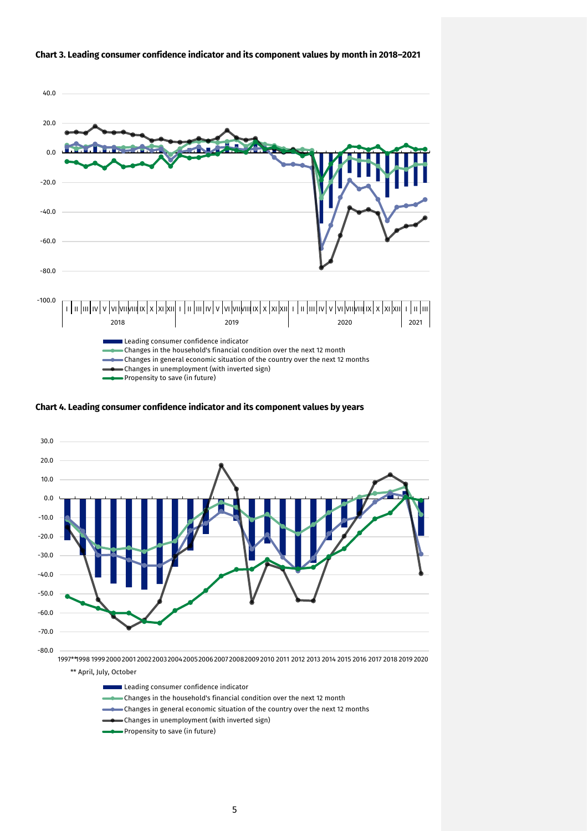

#### **Chart 3. Leading consumer confidence indicator and its component values by month in 2018–2021**





Leading consumer confidence indicator

- Changes in the household's financial condition over the next 12 month
- Changes in general economic situation of the country over the next 12 months
- Changes in unemployment (with inverted sign)
- Propensity to save (in future)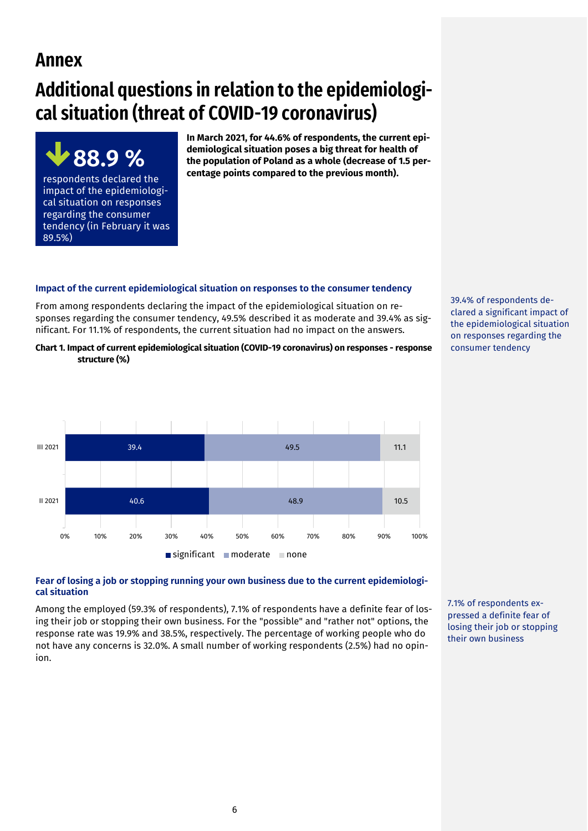# **Annex**

# **Additional questions in relation to the epidemiological situation (threat of COVID-19 coronavirus)**

**88.9 %**  respondents declared the impact of the epidemiological situation on responses regarding the consumer tendency (in February it was 89.5%)

**In March 2021, for 44.6% of respondents, the current epidemiological situation poses a big threat for health of the population of Poland as a whole (decrease of 1.5 percentage points compared to the previous month).** 

# **Impact of the current epidemiological situation on responses to the consumer tendency**

From among respondents declaring the impact of the epidemiological situation on responses regarding the consumer tendency, 49.5% described it as moderate and 39.4% as significant. For 11.1% of respondents, the current situation had no impact on the answers.

**Chart 1. Impact of current epidemiological situation (COVID-19 coronavirus) on responses - response structure (%)**



39.4% of respondents declared a significant impact of the epidemiological situation on responses regarding the consumer tendency

# **Fear of losing a job or stopping running your own business due to the current epidemiological situation**

Among the employed (59.3% of respondents), 7.1% of respondents have a definite fear of losing their job or stopping their own business. For the "possible" and "rather not" options, the response rate was 19.9% and 38.5%, respectively. The percentage of working people who do not have any concerns is 32.0%. A small number of working respondents (2.5%) had no opinion.

7.1% of respondents expressed a definite fear of losing their job or stopping their own business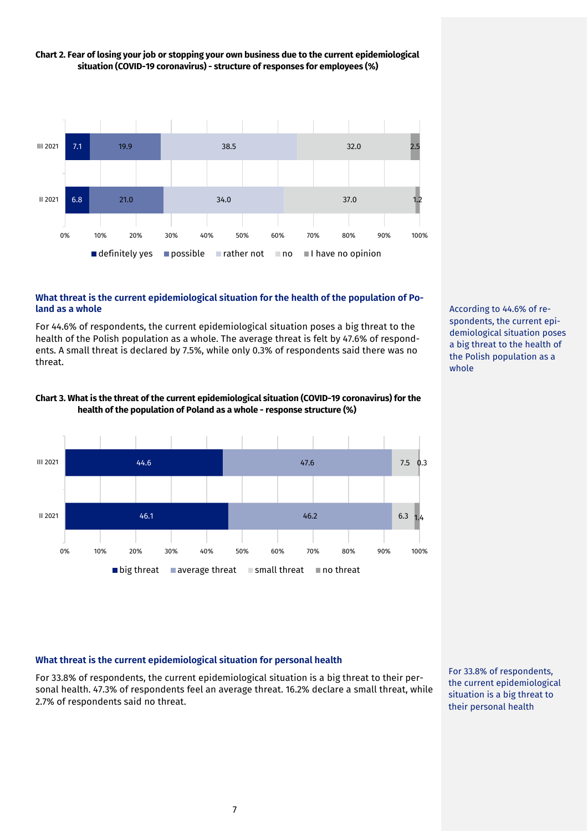

# **Chart 2. Fear of losing your job or stopping your own business due to the current epidemiological situation (COVID-19 coronavirus) - structure of responses for employees (%)**

# **What threat is the current epidemiological situation for the health of the population of Poland as a whole**

For 44.6% of respondents, the current epidemiological situation poses a big threat to the health of the Polish population as a whole. The average threat is felt by 47.6% of respondents. A small threat is declared by 7.5%, while only 0.3% of respondents said there was no threat.





According to 44.6% of respondents, the current epidemiological situation poses a big threat to the health of the Polish population as a whole

# **What threat is the current epidemiological situation for personal health**

For 33.8% of respondents, the current epidemiological situation is a big threat to their personal health. 47.3% of respondents feel an average threat. 16.2% declare a small threat, while 2.7% of respondents said no threat.

For 33.8% of respondents, the current epidemiological situation is a big threat to their personal health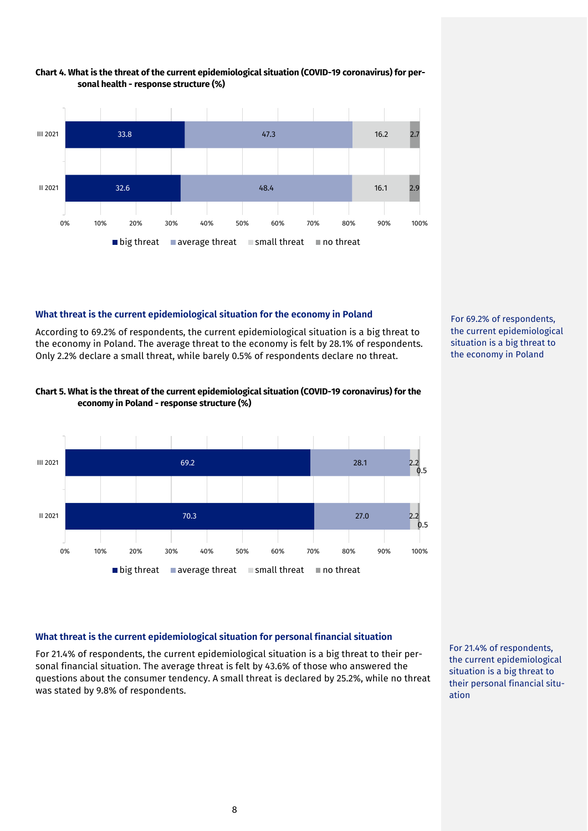

# **Chart 4. What is the threat of the current epidemiological situation (COVID-19 coronavirus) for personal health - response structure (%)**

# **What threat is the current epidemiological situation for the economy in Poland**

According to 69.2% of respondents, the current epidemiological situation is a big threat to the economy in Poland. The average threat to the economy is felt by 28.1% of respondents. Only 2.2% declare a small threat, while barely 0.5% of respondents declare no threat.



# **Chart 5. What is the threat of the current epidemiological situation (COVID-19 coronavirus) for the economy in Poland - response structure (%)**



# **What threat is the current epidemiological situation for personal financial situation**

For 21.4% of respondents, the current epidemiological situation is a big threat to their personal financial situation. The average threat is felt by 43.6% of those who answered the questions about the consumer tendency. A small threat is declared by 25.2%, while no threat was stated by 9.8% of respondents.

For 21.4% of respondents, the current epidemiological situation is a big threat to their personal financial situation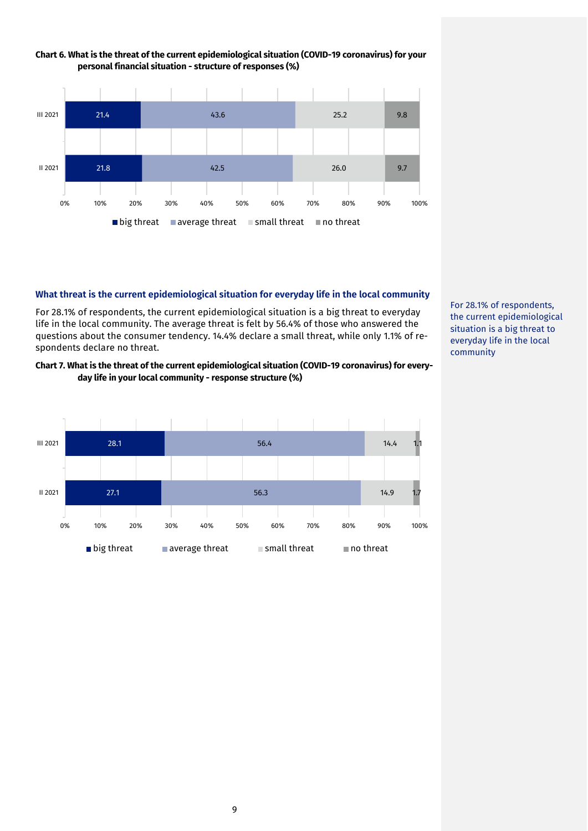

# **Chart 6. What is the threat of the current epidemiological situation (COVID-19 coronavirus) for your personal financial situation - structure of responses (%)**

# **What threat is the current epidemiological situation for everyday life in the local community**

For 28.1% of respondents, the current epidemiological situation is a big threat to everyday life in the local community. The average threat is felt by 56.4% of those who answered the questions about the consumer tendency. 14.4% declare a small threat, while only 1.1% of respondents declare no threat.

# **Chart 7. What is the threat of the current epidemiological situation (COVID-19 coronavirus) for everyday life in your local community - response structure (%)**



For 28.1% of respondents, the current epidemiological situation is a big threat to everyday life in the local community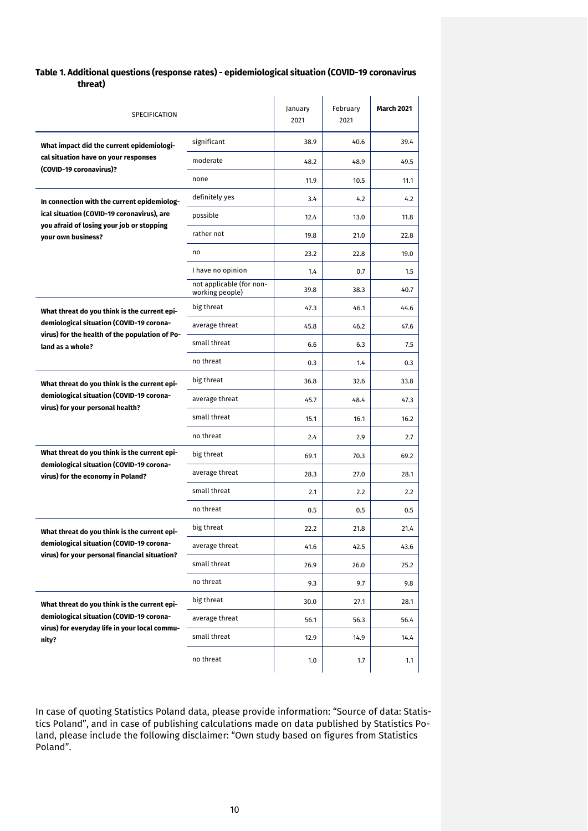# **Table 1. Additional questions (response rates) - epidemiological situation (COVID-19 coronavirus threat)**

| SPECIFICATION                                                                             |                                             | January<br>2021 | February<br>2021 | <b>March 2021</b> |
|-------------------------------------------------------------------------------------------|---------------------------------------------|-----------------|------------------|-------------------|
| What impact did the current epidemiologi-                                                 | significant                                 | 38.9            | 40.6             | 39.4              |
| cal situation have on your responses<br>(COVID-19 coronavirus)?                           | moderate                                    | 48.2            | 48.9             | 49.5              |
|                                                                                           | none                                        | 11.9            | 10.5             | 11.1              |
| In connection with the current epidemiolog-                                               | definitely yes                              | 3.4             | 4.2              | 4.2               |
| ical situation (COVID-19 coronavirus), are<br>you afraid of losing your job or stopping   | possible                                    | 12.4            | 13.0             | 11.8              |
| vour own business?                                                                        | rather not                                  | 19.8            | 21.0             | 22.8              |
|                                                                                           | no                                          | 23.2            | 22.8             | 19.0              |
|                                                                                           | I have no opinion                           | 1.4             | 0.7              | 1.5               |
|                                                                                           | not applicable (for non-<br>working people) | 39.8            | 38.3             | 40.7              |
| What threat do you think is the current epi-                                              | big threat                                  | 47.3            | 46.1             | 44.6              |
| demiological situation (COVID-19 corona-                                                  | average threat                              | 45.8            | 46.2             | 47.6              |
| virus) for the health of the population of Po-<br>land as a whole?                        | small threat                                | 6.6             | 6.3              | 7.5               |
|                                                                                           | no threat                                   | 0.3             | 1.4              | 0.3               |
| What threat do you think is the current epi-                                              | big threat                                  | 36.8            | 32.6             | 33.8              |
| demiological situation (COVID-19 corona-<br>virus) for your personal health?              | average threat                              | 45.7            | 48.4             | 47.3              |
|                                                                                           | small threat                                | 15.1            | 16.1             | 16.2              |
|                                                                                           | no threat                                   | 2.4             | 2.9              | 2.7               |
| What threat do you think is the current epi-                                              | big threat                                  | 69.1            | 70.3             | 69.2              |
| demiological situation (COVID-19 corona-<br>virus) for the economy in Poland?             | average threat                              | 28.3            | 27.0             | 28.1              |
|                                                                                           | small threat                                | 2.1             | 2.2              | 2.2               |
|                                                                                           | no threat                                   | 0.5             | 0.5              | 0.5               |
| What threat do you think is the current epi-                                              | big threat                                  | 22.2            | 21.8             | 21.4              |
| demiological situation (COVID-19 corona-                                                  | average threat                              | 41.6            | 42.5             | 43.6              |
| virus) for your personal financial situation?                                             | small threat                                | 26.9            | 26.0             | 25.2              |
|                                                                                           | no threat                                   | 9.3             | 9.7              | 9.8               |
| What threat do you think is the current epi-                                              | big threat                                  | 30.0            | 27.1             | 28.1              |
| demiological situation (COVID-19 corona-<br>virus) for everyday life in your local commu- | average threat                              | 56.1            | 56.3             | 56.4              |
| nity?                                                                                     | small threat                                | 12.9            | 14.9             | 14.4              |
|                                                                                           | no threat                                   | 1.0             | 1.7              | 1.1               |

In case of quoting Statistics Poland data, please provide information: "Source of data: Statistics Poland", and in case of publishing calculations made on data published by Statistics Poland, please include the following disclaimer: "Own study based on figures from Statistics Poland".